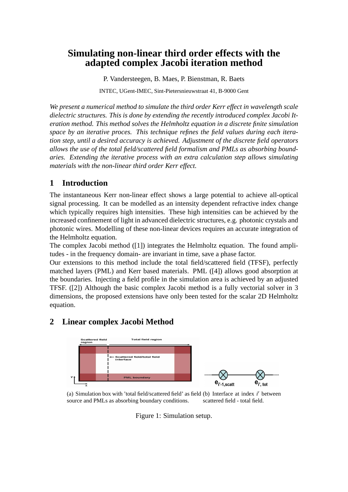# **Simulating non-linear third order effects with the adapted complex Jacobi iteration method**

P. Vandersteegen, B. Maes, P. Bienstman, R. Baets

INTEC, UGent-IMEC, Sint-Pietersnieuwstraat 41, B-9000 Gent

*We present a numerical method to simulate the third order Kerr effect in wavelength scale dielectric structures. This is done by extending the recently introduced complex Jacobi Iteration method. This method solves the Helmholtz equation in a discrete finite simulation space by an iterative proces. This technique refines the field values during each iteration step, until a desired accuracy is achieved. Adjustment of the discrete field operators allows the use of the total field/scattered field formalism and PMLs as absorbing boundaries. Extending the iterative process with an extra calculation step allows simulating materials with the non-linear third order Kerr effect.*

## **1 Introduction**

The instantaneous Kerr non-linear effect shows a large potential to achieve all-optical signal processing. It can be modelled as an intensity dependent refractive index change which typically requires high intensities. These high intensities can be achieved by the increased confinement of light in advanced dielectric structures, e.g. photonic crystals and photonic wires. Modelling of these non-linear devices requires an accurate integration of the Helmholtz equation.

The complex Jacobi method ([1]) integrates the Helmholtz equation. The found amplitudes - in the frequency domain- are invariant in time, save a phase factor.

Our extensions to this method include the total field/scattered field (TFSF), perfectly matched layers (PML) and Kerr based materials. PML ([4]) allows good absorption at the boundaries. Injecting a field profile in the simulation area is achieved by an adjusted TFSF. ([2]) Although the basic complex Jacobi method is a fully vectorial solver in 3 dimensions, the proposed extensions have only been tested for the scalar 2D Helmholtz equation.

## **2 Linear complex Jacobi Method**



(a) Simulation box with 'total field/scattered field' as field (b) Interface at index *i*' between source and PMLs as absorbing boundary conditions. scattered field - total field.

Figure 1: Simulation setup.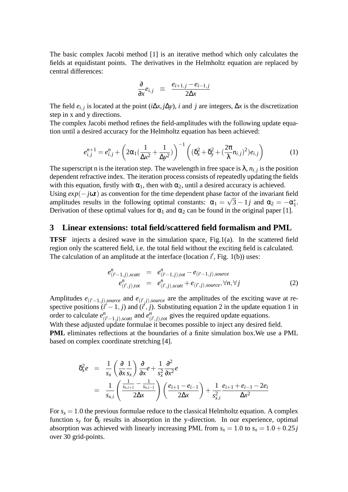The basic complex Jacobi method [1] is an iterative method which only calculates the fields at equidistant points. The derivatives in the Helmholtz equation are replaced by central differences:

$$
\frac{\partial}{\partial x}e_{i,j} \equiv \frac{e_{i+1,j} - e_{i-1,j}}{2\Delta x}
$$

The field  $e_{i,j}$  is located at the point ( $i\Delta x, j\Delta y$ ), *i* and *j* are integers,  $\Delta x$  is the discretization step in x and y directions.

The complex Jacobi method refines the field-amplitudes with the following update equation until a desired accuracy for the Helmholtz equation has been achieved:

$$
e_{i,j}^{n+1} = e_{i,j}^n + \left(2\alpha_1(\frac{1}{\Delta x^2} + \frac{1}{\Delta y^2})\right)^{-1} \left( (\delta_x^2 + \delta_y^2 + (\frac{2\pi}{\lambda}n_{i,j})^2)e_{i,j}\right)
$$
(1)

The superscript n is the iteration step. The wavelength in free space is  $\lambda$ ,  $n_{i,j}$  is the position dependent refractive index. The iteration process consists of repeatedly updating the fields with this equation, firstly with  $\alpha_1$ , then with  $\alpha_2$ , until a desired accuracy is achieved. Using  $exp(-j\omega t)$  as convention for the time dependent phase factor of the invariant field amplitudes results in the following optimal constants:  $\alpha_1 = \sqrt{3} - 1j$  and  $\alpha_2 = -\alpha_1^*$  $\overline{1}$ . Derivation of these optimal values for  $\alpha_1$  and  $\alpha_2$  can be found in the original paper [1].

#### **3 Linear extensions: total field/scattered field formalism and PML**

**TFSF** injects a desired wave in the simulation space, Fig.1(a). In the scattered field region only the scattered field, i.e. the total field without the exciting field is calculated. The calculation of an amplitude at the interface (location  $i'$ , Fig. 1(b)) uses:

$$
e_{(i'-1,j),scatt}^{n} = e_{(i'-1,j),tot}^{n} - e_{(i'-1,j),source}
$$
  
\n
$$
e_{(i',j),tot}^{n} = e_{(i',j),scatt}^{n} + e_{(i',j),source}, \forall n, \forall j
$$
 (2)

Amplitudes  $e_{(i'-1,j),source}$  and  $e_{(i',j),source}$  are the amplitudes of the exciting wave at respective positions  $(i' - 1, j)$  and  $(i', j)$ . Substituting equation 2 in the update equation 1 in order to calculate *e n*  $\binom{n}{i'-1,j}$ , *scatt* and *e*<sup>*n*</sup><sub>(</sub>  $_{(i',j),\text{tot}}^n$  gives the required update equations.

With these adjusted update formulae it becomes possible to inject any desired field. **PML** eliminates reflections at the boundaries of a finite simulation box.We use a PML based on complex coordinate stretching [4].

$$
\delta_x^2 e = \frac{1}{s_x} \left( \frac{\partial}{\partial x} \frac{1}{s_x} \right) \frac{\partial}{\partial x} e + \frac{1}{s_x^2} \frac{\partial^2}{\partial x^2} e
$$
  
= 
$$
\frac{1}{s_{x,i}} \left( \frac{\frac{1}{s_{x,i+1}} - \frac{1}{s_{x,i-1}}}{2\Delta x} \right) \left( \frac{e_{i+1} - e_{i-1}}{2\Delta x} \right) + \frac{1}{s_{x,i}^2} \frac{e_{i+1} + e_{i-1} - 2e_i}{\Delta x^2}
$$

For  $s_x = 1.0$  the previous formulae reduce to the classical Helmholtz equation. A complex function  $s_y$  for  $\delta_y$  results in absorption in the y-direction. In our experience, optimal absorption was achieved with linearly increasing PML from  $s_x = 1.0$  to  $s_x = 1.0 + 0.25j$ over 30 grid-points.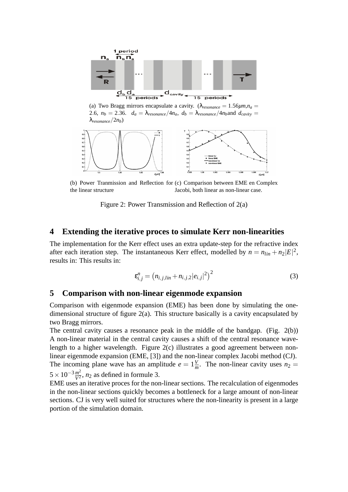



(b) Power Tranmission and Reflection for (c) Comparison between EME en Complex the linear structure Jacobi, both linear as non-linear case.

Figure 2: Power Transmission and Reflection of 2(a)

#### **4 Extending the iterative proces to simulate Kerr non-linearities**

The implementation for the Kerr effect uses an extra update-step for the refractive index after each iteration step. The instantaneous Kerr effect, modelled by  $n = n_{lin} + n_2|E|^2$ , results in: This results in:

$$
\varepsilon_{i,j}^n = (n_{i,j,lin} + n_{i,j,2} |e_{i,j}|^2)^2
$$
\n(3)

#### **5 Comparison with non-linear eigenmode expansion**

Comparison with eigenmode expansion (EME) has been done by simulating the onedimensional structure of figure 2(a). This structure basically is a cavity encapsulated by two Bragg mirrors.

The central cavity causes a resonance peak in the middle of the bandgap. (Fig. 2(b)) A non-linear material in the central cavity causes a shift of the central resonance wavelength to a higher wavelength. Figure 2(c) illustrates a good agreement between nonlinear eigenmode expansion (EME, [3]) and the non-linear complex Jacobi method (CJ). The incoming plane wave has an amplitude  $e = 1\frac{V}{n}$  $\frac{V}{m}$ . The non-linear cavity uses  $n_2 =$  $5 \times 10^{-3} \frac{m^2}{V^2}$  $\frac{m^2}{V^2}$ , *n*<sub>2</sub> as defined in formule 3.

EME uses an iterative proces for the non-linear sections. The recalculation of eigenmodes in the non-linear sections quickly becomes a bottleneck for a large amount of non-linear sections. CJ is very well suited for structures where the non-linearity is present in a large portion of the simulation domain.